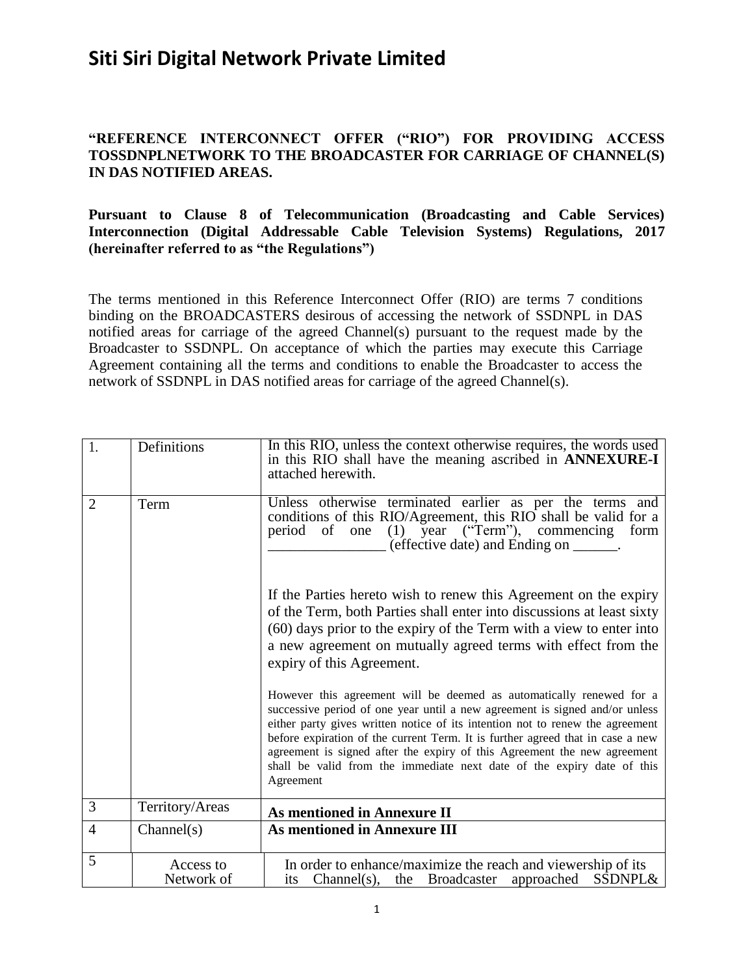#### **"REFERENCE INTERCONNECT OFFER ("RIO") FOR PROVIDING ACCESS TOSSDNPLNETWORK TO THE BROADCASTER FOR CARRIAGE OF CHANNEL(S) IN DAS NOTIFIED AREAS.**

#### **Pursuant to Clause 8 of Telecommunication (Broadcasting and Cable Services) Interconnection (Digital Addressable Cable Television Systems) Regulations, 2017 (hereinafter referred to as "the Regulations")**

The terms mentioned in this Reference Interconnect Offer (RIO) are terms 7 conditions binding on the BROADCASTERS desirous of accessing the network of SSDNPL in DAS notified areas for carriage of the agreed Channel(s) pursuant to the request made by the Broadcaster to SSDNPL. On acceptance of which the parties may execute this Carriage Agreement containing all the terms and conditions to enable the Broadcaster to access the network of SSDNPL in DAS notified areas for carriage of the agreed Channel(s).

| 1.             | Definitions             | In this RIO, unless the context otherwise requires, the words used<br>in this RIO shall have the meaning ascribed in ANNEXURE-I<br>attached herewith.                                                                                                                                                                                                                                                                                                                                     |
|----------------|-------------------------|-------------------------------------------------------------------------------------------------------------------------------------------------------------------------------------------------------------------------------------------------------------------------------------------------------------------------------------------------------------------------------------------------------------------------------------------------------------------------------------------|
| $\overline{2}$ | Term                    | Unless otherwise terminated earlier as per the terms and<br>conditions of this RIO/Agreement, this RIO shall be valid for a<br>period of one (1) year ("Term"), commencing<br>form<br>(effective date) and Ending on _______.                                                                                                                                                                                                                                                             |
|                |                         | If the Parties hereto wish to renew this Agreement on the expiry<br>of the Term, both Parties shall enter into discussions at least sixty<br>(60) days prior to the expiry of the Term with a view to enter into<br>a new agreement on mutually agreed terms with effect from the<br>expiry of this Agreement.                                                                                                                                                                            |
|                |                         | However this agreement will be deemed as automatically renewed for a<br>successive period of one year until a new agreement is signed and/or unless<br>either party gives written notice of its intention not to renew the agreement<br>before expiration of the current Term. It is further agreed that in case a new<br>agreement is signed after the expiry of this Agreement the new agreement<br>shall be valid from the immediate next date of the expiry date of this<br>Agreement |
| 3              | Territory/Areas         | <b>As mentioned in Annexure II</b>                                                                                                                                                                                                                                                                                                                                                                                                                                                        |
| $\overline{4}$ | Channel(s)              | As mentioned in Annexure III                                                                                                                                                                                                                                                                                                                                                                                                                                                              |
| 5              | Access to<br>Network of | In order to enhance/maximize the reach and viewership of its<br>Channel(s), the Broadcaster approached<br><b>SSDNPL&amp;</b><br>its                                                                                                                                                                                                                                                                                                                                                       |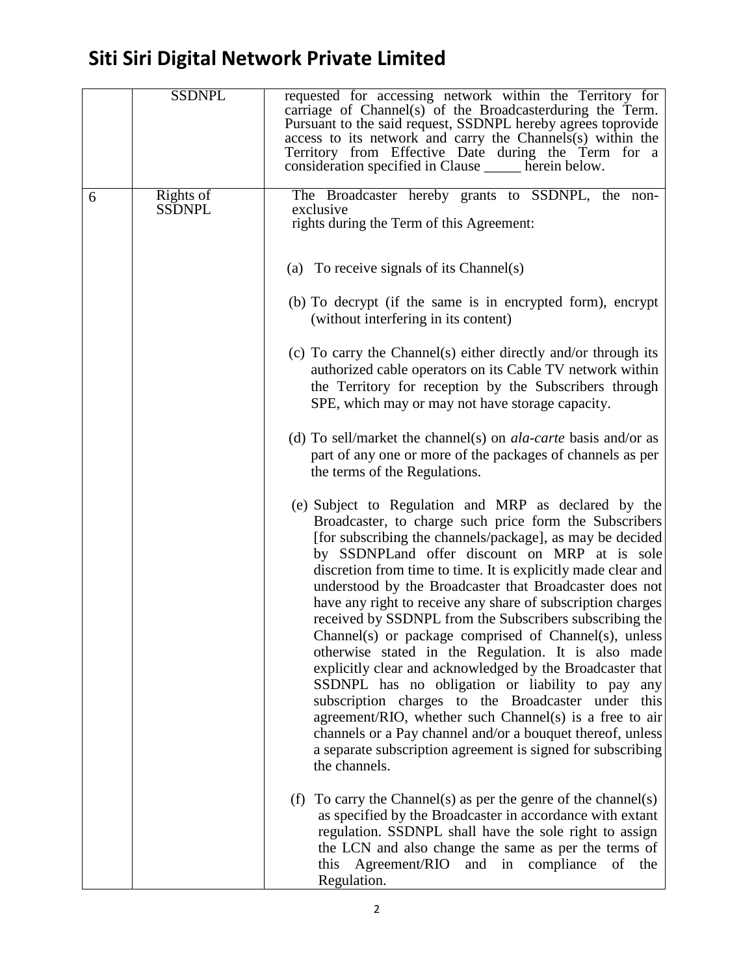|   | <b>SSDNPL</b>              | requested for accessing network within the Territory for<br>carriage of Channel(s) of the Broadcasterduring the Term.<br>Pursuant to the said request, SSDNPL hereby agrees toprovide<br>access to its network and carry the Channels(s) within the<br>Territory from Effective Date during the Term for a<br>consideration specified in Clause _____ herein below.                                                                                                                                                                                                                                                                                                                                                                                                                                                                                                                                                                                                                |
|---|----------------------------|------------------------------------------------------------------------------------------------------------------------------------------------------------------------------------------------------------------------------------------------------------------------------------------------------------------------------------------------------------------------------------------------------------------------------------------------------------------------------------------------------------------------------------------------------------------------------------------------------------------------------------------------------------------------------------------------------------------------------------------------------------------------------------------------------------------------------------------------------------------------------------------------------------------------------------------------------------------------------------|
| 6 | Rights of<br><b>SSDNPL</b> | The Broadcaster hereby grants to SSDNPL, the non-<br>exclusive<br>rights during the Term of this Agreement:                                                                                                                                                                                                                                                                                                                                                                                                                                                                                                                                                                                                                                                                                                                                                                                                                                                                        |
|   |                            | (a) To receive signals of its Channel(s)                                                                                                                                                                                                                                                                                                                                                                                                                                                                                                                                                                                                                                                                                                                                                                                                                                                                                                                                           |
|   |                            | (b) To decrypt (if the same is in encrypted form), encrypt<br>(without interfering in its content)                                                                                                                                                                                                                                                                                                                                                                                                                                                                                                                                                                                                                                                                                                                                                                                                                                                                                 |
|   |                            | (c) To carry the Channel(s) either directly and/or through its<br>authorized cable operators on its Cable TV network within<br>the Territory for reception by the Subscribers through<br>SPE, which may or may not have storage capacity.                                                                                                                                                                                                                                                                                                                                                                                                                                                                                                                                                                                                                                                                                                                                          |
|   |                            | (d) To sell/market the channel(s) on <i>ala-carte</i> basis and/or as<br>part of any one or more of the packages of channels as per<br>the terms of the Regulations.                                                                                                                                                                                                                                                                                                                                                                                                                                                                                                                                                                                                                                                                                                                                                                                                               |
|   |                            | (e) Subject to Regulation and MRP as declared by the<br>Broadcaster, to charge such price form the Subscribers<br>[for subscribing the channels/package], as may be decided<br>by SSDNPLand offer discount on MRP at is sole<br>discretion from time to time. It is explicitly made clear and<br>understood by the Broadcaster that Broadcaster does not<br>have any right to receive any share of subscription charges<br>received by SSDNPL from the Subscribers subscribing the<br>Channel(s) or package comprised of Channel(s), unless<br>otherwise stated in the Regulation. It is also made<br>explicitly clear and acknowledged by the Broadcaster that<br>SSDNPL has no obligation or liability to pay any<br>subscription charges to the Broadcaster under this<br>agreement/RIO, whether such Channel(s) is a free to air<br>channels or a Pay channel and/or a bouquet thereof, unless<br>a separate subscription agreement is signed for subscribing<br>the channels. |
|   |                            | To carry the Channel(s) as per the genre of the channel(s)<br>(f)<br>as specified by the Broadcaster in accordance with extant<br>regulation. SSDNPL shall have the sole right to assign<br>the LCN and also change the same as per the terms of<br>this<br>Agreement/RIO and in compliance<br>of<br>the<br>Regulation.                                                                                                                                                                                                                                                                                                                                                                                                                                                                                                                                                                                                                                                            |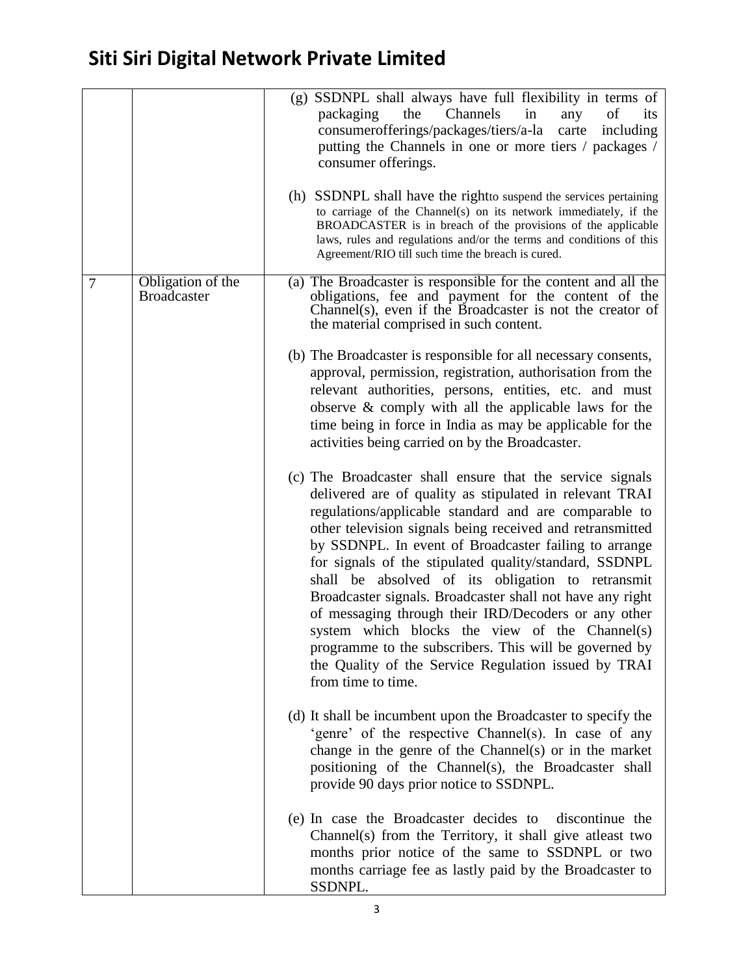|   |                                         | (g) SSDNPL shall always have full flexibility in terms of<br>Channels<br>in<br>packaging<br>the<br>of<br>any<br>its<br>consumerofferings/packages/tiers/a-la carte including<br>putting the Channels in one or more tiers / packages /<br>consumer offerings.<br>(h) SSDNPL shall have the right to suspend the services pertaining<br>to carriage of the Channel(s) on its network immediately, if the<br>BROADCASTER is in breach of the provisions of the applicable<br>laws, rules and regulations and/or the terms and conditions of this<br>Agreement/RIO till such time the breach is cured.                                                                                                                               |
|---|-----------------------------------------|-----------------------------------------------------------------------------------------------------------------------------------------------------------------------------------------------------------------------------------------------------------------------------------------------------------------------------------------------------------------------------------------------------------------------------------------------------------------------------------------------------------------------------------------------------------------------------------------------------------------------------------------------------------------------------------------------------------------------------------|
| 7 | Obligation of the<br><b>Broadcaster</b> | (a) The Broadcaster is responsible for the content and all the<br>obligations, fee and payment for the content of the<br>Channel(s), even if the Broadcaster is not the creator of<br>the material comprised in such content.                                                                                                                                                                                                                                                                                                                                                                                                                                                                                                     |
|   |                                         | (b) The Broadcaster is responsible for all necessary consents,<br>approval, permission, registration, authorisation from the<br>relevant authorities, persons, entities, etc. and must<br>observe & comply with all the applicable laws for the<br>time being in force in India as may be applicable for the<br>activities being carried on by the Broadcaster.                                                                                                                                                                                                                                                                                                                                                                   |
|   |                                         | (c) The Broadcaster shall ensure that the service signals<br>delivered are of quality as stipulated in relevant TRAI<br>regulations/applicable standard and are comparable to<br>other television signals being received and retransmitted<br>by SSDNPL. In event of Broadcaster failing to arrange<br>for signals of the stipulated quality/standard, SSDNPL<br>shall be absolved of its obligation to retransmit<br>Broadcaster signals. Broadcaster shall not have any right<br>of messaging through their IRD/Decoders or any other<br>system which blocks the view of the Channel(s)<br>programme to the subscribers. This will be governed by<br>the Quality of the Service Regulation issued by TRAI<br>from time to time. |
|   |                                         | (d) It shall be incumbent upon the Broadcaster to specify the<br>'genre' of the respective Channel(s). In case of any<br>change in the genre of the Channel(s) or in the market<br>positioning of the Channel(s), the Broadcaster shall<br>provide 90 days prior notice to SSDNPL.                                                                                                                                                                                                                                                                                                                                                                                                                                                |
|   |                                         | (e) In case the Broadcaster decides to<br>discontinue the<br>Channel(s) from the Territory, it shall give atleast two<br>months prior notice of the same to SSDNPL or two<br>months carriage fee as lastly paid by the Broadcaster to<br>SSDNPL.                                                                                                                                                                                                                                                                                                                                                                                                                                                                                  |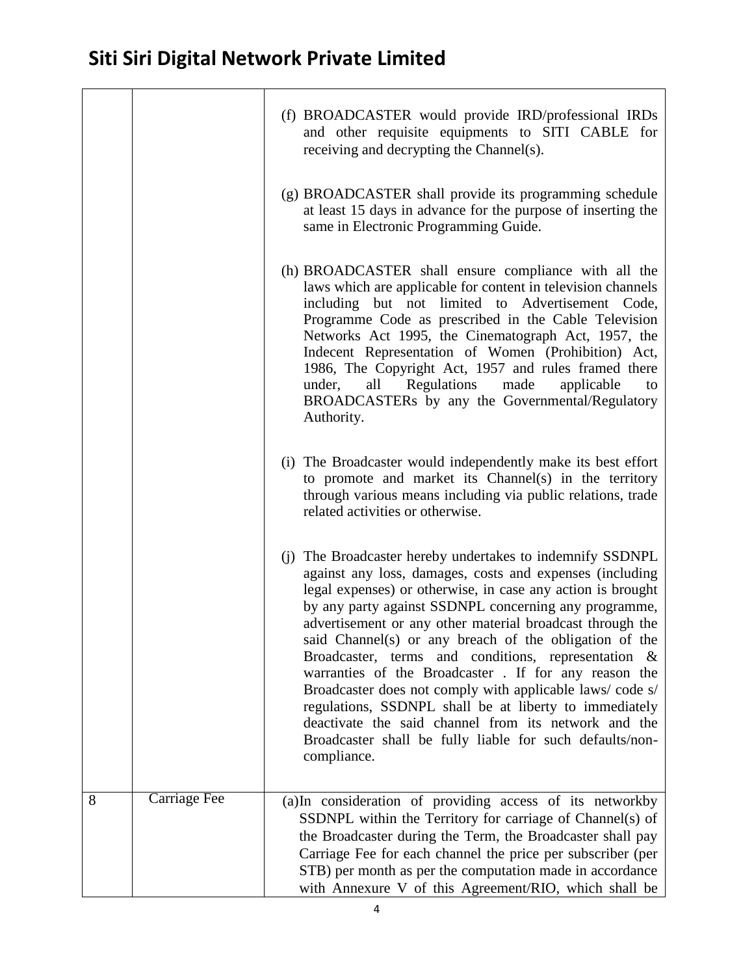|   |                     | (f) BROADCASTER would provide IRD/professional IRDs<br>and other requisite equipments to SITI CABLE for<br>receiving and decrypting the Channel(s).                                                                                                                                                                                                                                                                                                                                                                                                                                                                                                                                                                                          |
|---|---------------------|----------------------------------------------------------------------------------------------------------------------------------------------------------------------------------------------------------------------------------------------------------------------------------------------------------------------------------------------------------------------------------------------------------------------------------------------------------------------------------------------------------------------------------------------------------------------------------------------------------------------------------------------------------------------------------------------------------------------------------------------|
|   |                     | (g) BROADCASTER shall provide its programming schedule<br>at least 15 days in advance for the purpose of inserting the<br>same in Electronic Programming Guide.                                                                                                                                                                                                                                                                                                                                                                                                                                                                                                                                                                              |
|   |                     | (h) BROADCASTER shall ensure compliance with all the<br>laws which are applicable for content in television channels<br>including but not limited to Advertisement Code,<br>Programme Code as prescribed in the Cable Television<br>Networks Act 1995, the Cinematograph Act, 1957, the<br>Indecent Representation of Women (Prohibition) Act,<br>1986, The Copyright Act, 1957 and rules framed there<br>Regulations<br>made<br>under,<br>applicable<br>all<br>to<br>BROADCASTERs by any the Governmental/Regulatory<br>Authority.                                                                                                                                                                                                          |
|   |                     | (i) The Broadcaster would independently make its best effort<br>to promote and market its Channel(s) in the territory<br>through various means including via public relations, trade<br>related activities or otherwise.                                                                                                                                                                                                                                                                                                                                                                                                                                                                                                                     |
|   |                     | (j) The Broadcaster hereby undertakes to indemnify SSDNPL<br>against any loss, damages, costs and expenses (including<br>legal expenses) or otherwise, in case any action is brought<br>by any party against SSDNPL concerning any programme,<br>advertisement or any other material broadcast through the<br>said Channel(s) or any breach of the obligation of the<br>Broadcaster, terms and conditions, representation &<br>warranties of the Broadcaster. If for any reason the<br>Broadcaster does not comply with applicable laws/code s/<br>regulations, SSDNPL shall be at liberty to immediately<br>deactivate the said channel from its network and the<br>Broadcaster shall be fully liable for such defaults/non-<br>compliance. |
| 8 | <b>Carriage Fee</b> | (a)In consideration of providing access of its networkby<br>SSDNPL within the Territory for carriage of Channel(s) of<br>the Broadcaster during the Term, the Broadcaster shall pay<br>Carriage Fee for each channel the price per subscriber (per<br>STB) per month as per the computation made in accordance<br>with Annexure V of this Agreement/RIO, which shall be                                                                                                                                                                                                                                                                                                                                                                      |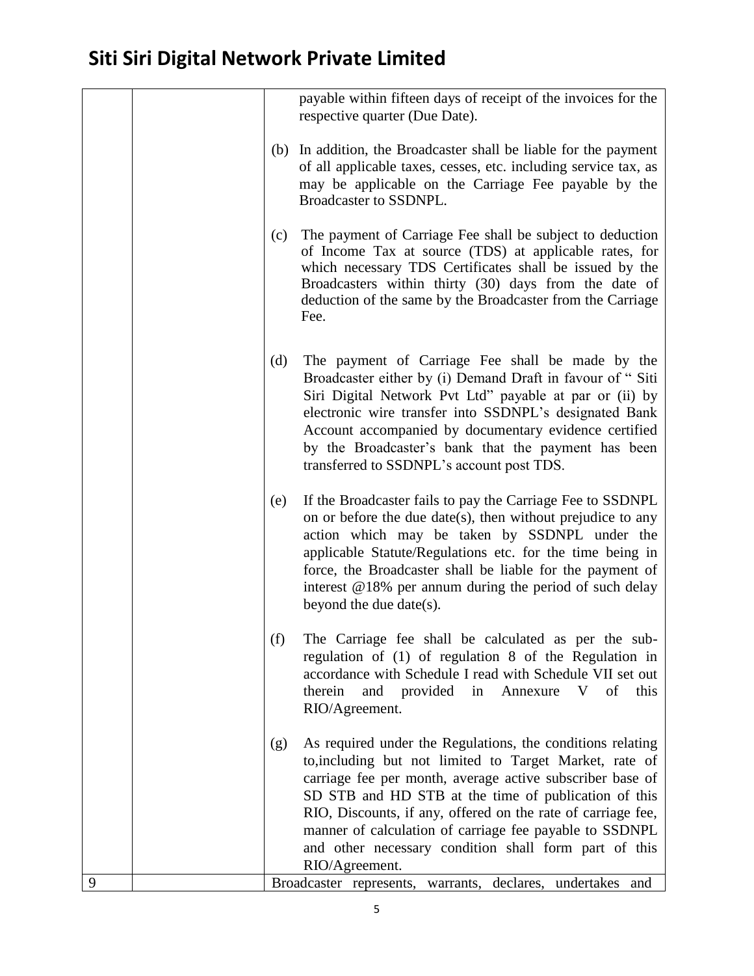|   |     | payable within fifteen days of receipt of the invoices for the<br>respective quarter (Due Date).                                                                                                                                                                                                                                                                                                                                                 |
|---|-----|--------------------------------------------------------------------------------------------------------------------------------------------------------------------------------------------------------------------------------------------------------------------------------------------------------------------------------------------------------------------------------------------------------------------------------------------------|
|   |     | (b) In addition, the Broadcaster shall be liable for the payment<br>of all applicable taxes, cesses, etc. including service tax, as<br>may be applicable on the Carriage Fee payable by the<br>Broadcaster to SSDNPL.                                                                                                                                                                                                                            |
|   | (c) | The payment of Carriage Fee shall be subject to deduction<br>of Income Tax at source (TDS) at applicable rates, for<br>which necessary TDS Certificates shall be issued by the<br>Broadcasters within thirty (30) days from the date of<br>deduction of the same by the Broadcaster from the Carriage<br>Fee.                                                                                                                                    |
|   | (d) | The payment of Carriage Fee shall be made by the<br>Broadcaster either by (i) Demand Draft in favour of "Siti<br>Siri Digital Network Pvt Ltd" payable at par or (ii) by<br>electronic wire transfer into SSDNPL's designated Bank<br>Account accompanied by documentary evidence certified<br>by the Broadcaster's bank that the payment has been<br>transferred to SSDNPL's account post TDS.                                                  |
|   | (e) | If the Broadcaster fails to pay the Carriage Fee to SSDNPL<br>on or before the due date(s), then without prejudice to any<br>action which may be taken by SSDNPL under the<br>applicable Statute/Regulations etc. for the time being in<br>force, the Broadcaster shall be liable for the payment of<br>interest $@18%$ per annum during the period of such delay<br>beyond the due date(s).                                                     |
|   | (f) | The Carriage fee shall be calculated as per the sub-<br>regulation of (1) of regulation 8 of the Regulation in<br>accordance with Schedule I read with Schedule VII set out<br>therein<br>and provided in<br>V<br>of<br>this<br>Annexure<br>RIO/Agreement.                                                                                                                                                                                       |
|   | (g) | As required under the Regulations, the conditions relating<br>to, including but not limited to Target Market, rate of<br>carriage fee per month, average active subscriber base of<br>SD STB and HD STB at the time of publication of this<br>RIO, Discounts, if any, offered on the rate of carriage fee,<br>manner of calculation of carriage fee payable to SSDNPL<br>and other necessary condition shall form part of this<br>RIO/Agreement. |
| 9 |     | Broadcaster represents, warrants, declares, undertakes<br>and                                                                                                                                                                                                                                                                                                                                                                                    |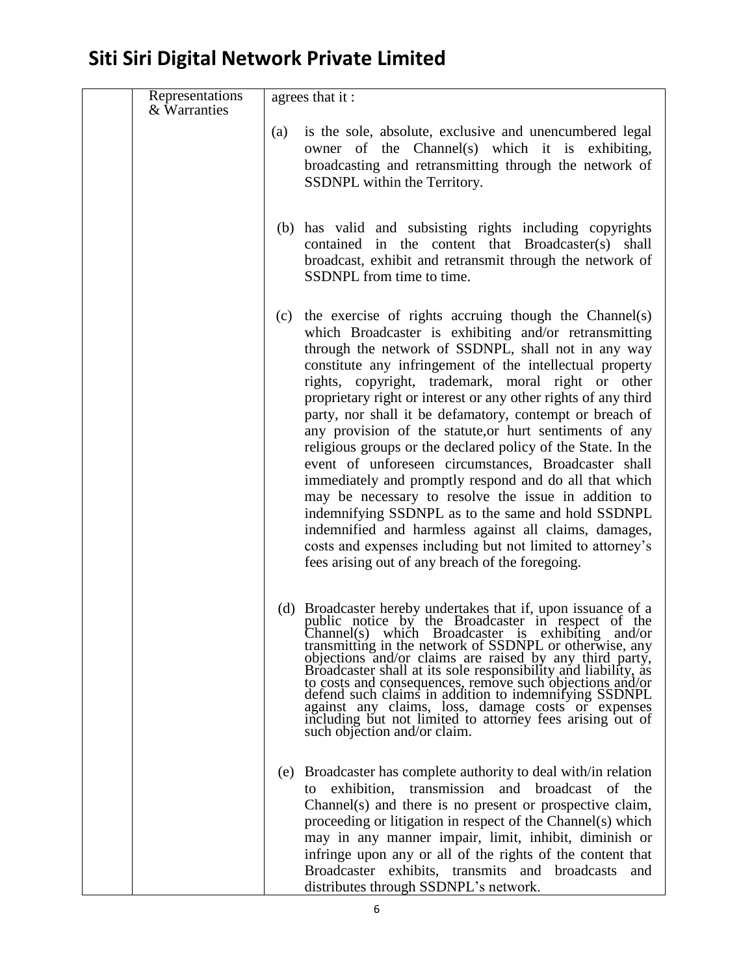| Representations<br>& Warranties |     | agrees that it:                                                                                                                                                                                                                                                                                                                                                                                                                                                                                                                                                                                                                                                                                                                                                                                                                                                                                                                                             |
|---------------------------------|-----|-------------------------------------------------------------------------------------------------------------------------------------------------------------------------------------------------------------------------------------------------------------------------------------------------------------------------------------------------------------------------------------------------------------------------------------------------------------------------------------------------------------------------------------------------------------------------------------------------------------------------------------------------------------------------------------------------------------------------------------------------------------------------------------------------------------------------------------------------------------------------------------------------------------------------------------------------------------|
|                                 | (a) | is the sole, absolute, exclusive and unencumbered legal<br>owner of the Channel(s) which it is exhibiting,<br>broadcasting and retransmitting through the network of<br>SSDNPL within the Territory.                                                                                                                                                                                                                                                                                                                                                                                                                                                                                                                                                                                                                                                                                                                                                        |
|                                 |     | (b) has valid and subsisting rights including copyrights<br>contained in the content that Broadcaster(s) shall<br>broadcast, exhibit and retransmit through the network of<br>SSDNPL from time to time.                                                                                                                                                                                                                                                                                                                                                                                                                                                                                                                                                                                                                                                                                                                                                     |
|                                 | (c) | the exercise of rights accruing though the Channel(s)<br>which Broadcaster is exhibiting and/or retransmitting<br>through the network of SSDNPL, shall not in any way<br>constitute any infringement of the intellectual property<br>rights, copyright, trademark, moral right or other<br>proprietary right or interest or any other rights of any third<br>party, nor shall it be defamatory, contempt or breach of<br>any provision of the statute, or hurt sentiments of any<br>religious groups or the declared policy of the State. In the<br>event of unforeseen circumstances, Broadcaster shall<br>immediately and promptly respond and do all that which<br>may be necessary to resolve the issue in addition to<br>indemnifying SSDNPL as to the same and hold SSDNPL<br>indemnified and harmless against all claims, damages,<br>costs and expenses including but not limited to attorney's<br>fees arising out of any breach of the foregoing. |
|                                 |     | (d) Broadcaster hereby undertakes that if, upon issuance of a public notice by the Broadcaster in respect of the Channel(s) which Broadcaster is exhibiting and/or<br>transmitting in the network of SSDNPL or otherwise, any<br>objections and/or claims are raised by any third party,<br>Broadcaster shall at its sole responsibility and liability, as<br>to costs and consequences, remove such objections and/or<br>defend such claims in addition to indemnifying SSDNPL<br>against any claims, loss, damage costs or expenses<br>including but not limited to attorney fees arising out of<br>such objection and/or claim.                                                                                                                                                                                                                                                                                                                          |
|                                 | (e) | Broadcaster has complete authority to deal with in relation<br>exhibition, transmission and broadcast of the<br>to<br>Channel(s) and there is no present or prospective claim,<br>proceeding or litigation in respect of the Channel(s) which<br>may in any manner impair, limit, inhibit, diminish or<br>infringe upon any or all of the rights of the content that<br>Broadcaster exhibits, transmits and broadcasts<br>and<br>distributes through SSDNPL's network.                                                                                                                                                                                                                                                                                                                                                                                                                                                                                      |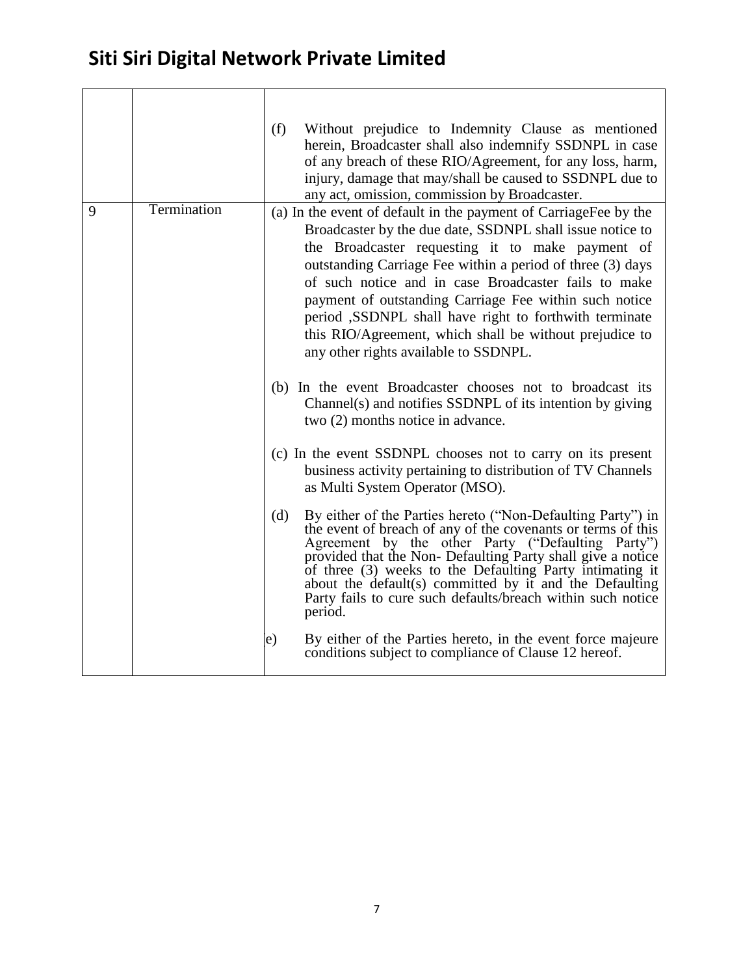|   |             | (f) | Without prejudice to Indemnity Clause as mentioned<br>herein, Broadcaster shall also indemnify SSDNPL in case<br>of any breach of these RIO/Agreement, for any loss, harm,<br>injury, damage that may/shall be caused to SSDNPL due to<br>any act, omission, commission by Broadcaster.                                                                                                                                                                                                                                                                                                                                                                                                                                                                                                                                                                         |
|---|-------------|-----|-----------------------------------------------------------------------------------------------------------------------------------------------------------------------------------------------------------------------------------------------------------------------------------------------------------------------------------------------------------------------------------------------------------------------------------------------------------------------------------------------------------------------------------------------------------------------------------------------------------------------------------------------------------------------------------------------------------------------------------------------------------------------------------------------------------------------------------------------------------------|
| 9 | Termination |     | (a) In the event of default in the payment of CarriageFee by the<br>Broadcaster by the due date, SSDNPL shall issue notice to<br>the Broadcaster requesting it to make payment of<br>outstanding Carriage Fee within a period of three (3) days<br>of such notice and in case Broadcaster fails to make<br>payment of outstanding Carriage Fee within such notice<br>period ,SSDNPL shall have right to forthwith terminate<br>this RIO/Agreement, which shall be without prejudice to<br>any other rights available to SSDNPL.<br>(b) In the event Broadcaster chooses not to broadcast its<br>Channel(s) and notifies SSDNPL of its intention by giving<br>two (2) months notice in advance.<br>(c) In the event SSDNPL chooses not to carry on its present<br>business activity pertaining to distribution of TV Channels<br>as Multi System Operator (MSO). |
|   |             | (d) | By either of the Parties hereto ("Non-Defaulting Party") in<br>the event of breach of any of the covenants or terms of this<br>Agreement by the other Party ("Defaulting Party")<br>provided that the Non- Defaulting Party shall give a notice<br>of three (3) weeks to the Defaulting Party intimating it<br>about the default(s) committed by it and the Defaulting<br>Party fails to cure such defaults/breach within such notice<br>period.                                                                                                                                                                                                                                                                                                                                                                                                                |
|   |             | e)  | By either of the Parties hereto, in the event force majeure<br>conditions subject to compliance of Clause 12 hereof.                                                                                                                                                                                                                                                                                                                                                                                                                                                                                                                                                                                                                                                                                                                                            |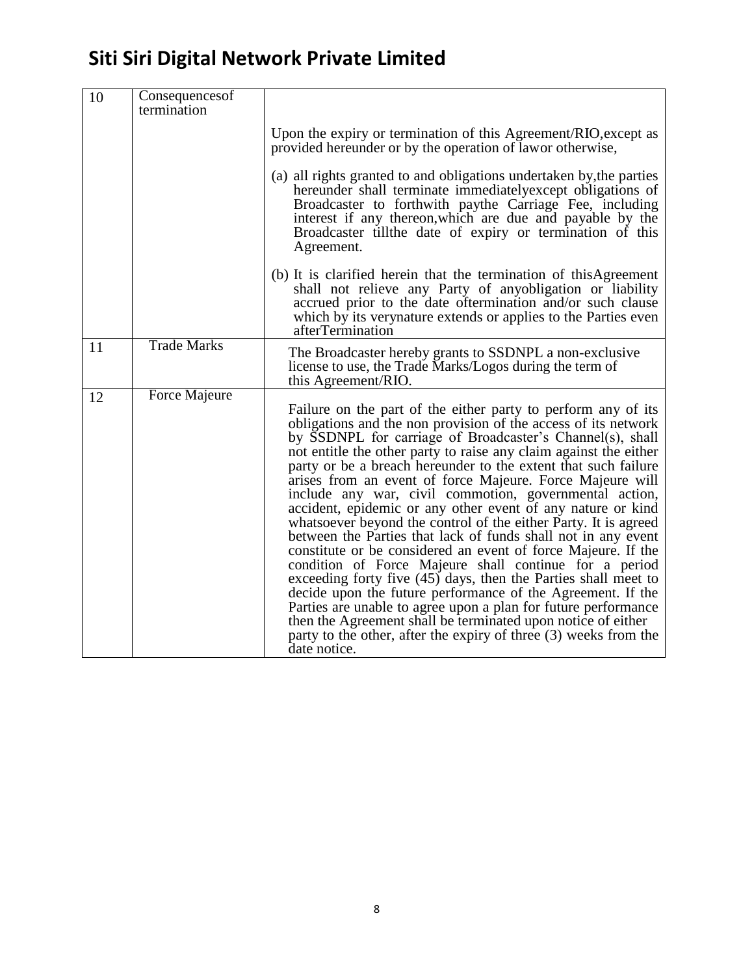| 10 | Consequences of<br>termination |                                                                                                                                                                                                                                                                                                                                                                                                                                                                                                                                                                                                                                                                                                                                                                                                                                                                                                                                                                                                                                                                                                                                                 |
|----|--------------------------------|-------------------------------------------------------------------------------------------------------------------------------------------------------------------------------------------------------------------------------------------------------------------------------------------------------------------------------------------------------------------------------------------------------------------------------------------------------------------------------------------------------------------------------------------------------------------------------------------------------------------------------------------------------------------------------------------------------------------------------------------------------------------------------------------------------------------------------------------------------------------------------------------------------------------------------------------------------------------------------------------------------------------------------------------------------------------------------------------------------------------------------------------------|
|    |                                | Upon the expiry or termination of this Agreement/RIO, except as<br>provided hereunder or by the operation of lawor otherwise,                                                                                                                                                                                                                                                                                                                                                                                                                                                                                                                                                                                                                                                                                                                                                                                                                                                                                                                                                                                                                   |
|    |                                | (a) all rights granted to and obligations undertaken by, the parties<br>hereunder shall terminate immediately except obligations of<br>Broadcaster to forthwith paythe Carriage Fee, including<br>interest if any thereon, which are due and payable by the<br>Broadcaster till the date of expiry or termination of this<br>Agreement.                                                                                                                                                                                                                                                                                                                                                                                                                                                                                                                                                                                                                                                                                                                                                                                                         |
|    |                                | (b) It is clarified herein that the termination of this Agreement<br>shall not relieve any Party of anyobligation or liability<br>accrued prior to the date oftermination and/or such clause<br>which by its verynature extends or applies to the Parties even<br>afterTermination                                                                                                                                                                                                                                                                                                                                                                                                                                                                                                                                                                                                                                                                                                                                                                                                                                                              |
| 11 | <b>Trade Marks</b>             | The Broadcaster hereby grants to SSDNPL a non-exclusive<br>license to use, the Trade Marks/Logos during the term of<br>this Agreement/RIO.                                                                                                                                                                                                                                                                                                                                                                                                                                                                                                                                                                                                                                                                                                                                                                                                                                                                                                                                                                                                      |
| 12 | <b>Force Majeure</b>           | Failure on the part of the either party to perform any of its<br>obligations and the non provision of the access of its network<br>by SSDNPL for carriage of Broadcaster's Channel(s), shall<br>not entitle the other party to raise any claim against the either<br>party or be a breach hereunder to the extent that such failure<br>arises from an event of force Majeure. Force Majeure will<br>include any war, civil commotion, governmental action,<br>accident, epidemic or any other event of any nature or kind<br>whatsoever beyond the control of the either Party. It is agreed<br>between the Parties that lack of funds shall not in any event<br>constitute or be considered an event of force Majeure. If the<br>condition of Force Majeure shall continue for a period<br>exceeding forty five (45) days, then the Parties shall meet to<br>decide upon the future performance of the Agreement. If the<br>Parties are unable to agree upon a plan for future performance<br>then the Agreement shall be terminated upon notice of either<br>party to the other, after the expiry of three (3) weeks from the<br>date notice. |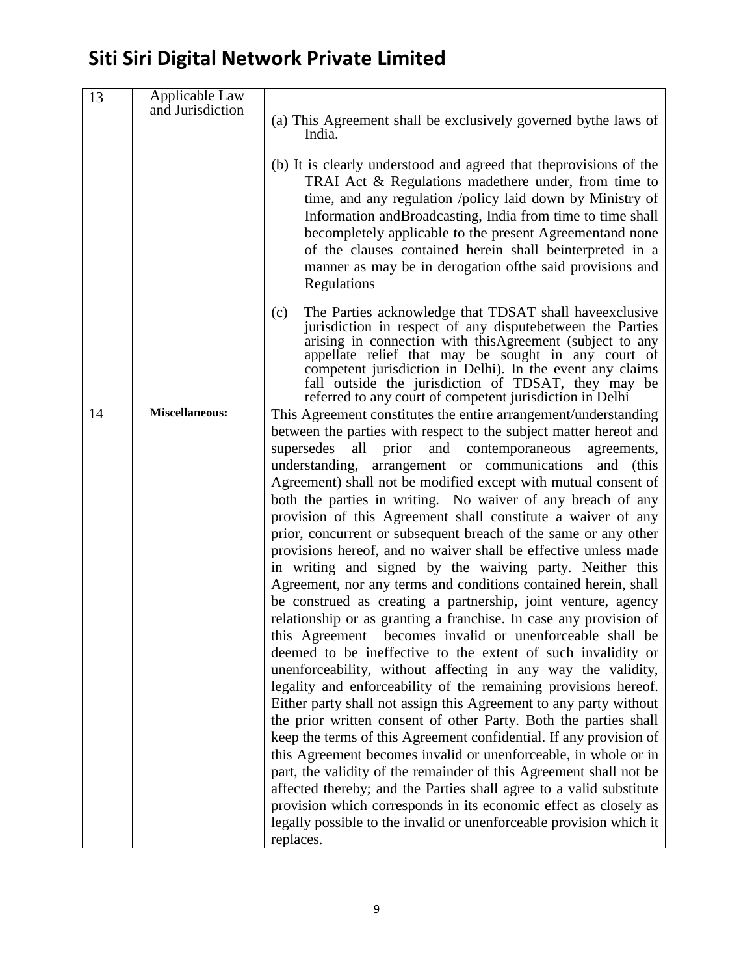| 13 | Applicable Law<br>and Jurisdiction | (a) This Agreement shall be exclusively governed by the laws of<br>India.<br>(b) It is clearly understood and agreed that the provisions of the                                                                                                                                                                                                                                                                                  |
|----|------------------------------------|----------------------------------------------------------------------------------------------------------------------------------------------------------------------------------------------------------------------------------------------------------------------------------------------------------------------------------------------------------------------------------------------------------------------------------|
|    |                                    | TRAI Act & Regulations made there under, from time to<br>time, and any regulation /policy laid down by Ministry of<br>Information and Broadcasting, India from time to time shall<br>becompletely applicable to the present Agreementand none<br>of the clauses contained herein shall beinterpreted in a<br>manner as may be in derogation of the said provisions and<br>Regulations                                            |
|    |                                    | The Parties acknowledge that TDSAT shall have exclusive<br>(c)<br>jurisdiction in respect of any dispute between the Parties<br>arising in connection with this Agreement (subject to any<br>appellate relief that may be sought in any court of<br>competent jurisdiction in Delhi). In the event any claims<br>fall outside the jurisdiction of TDSAT, they may be<br>referred to any court of competent jurisdiction in Delhi |
| 14 | <b>Miscellaneous:</b>              | This Agreement constitutes the entire arrangement/understanding<br>between the parties with respect to the subject matter hereof and                                                                                                                                                                                                                                                                                             |
|    |                                    | supersedes<br>all<br>prior<br>contemporaneous<br>and<br>agreements,<br>understanding, arrangement or communications<br>and<br>(this                                                                                                                                                                                                                                                                                              |
|    |                                    | Agreement) shall not be modified except with mutual consent of                                                                                                                                                                                                                                                                                                                                                                   |
|    |                                    | both the parties in writing. No waiver of any breach of any                                                                                                                                                                                                                                                                                                                                                                      |
|    |                                    | provision of this Agreement shall constitute a waiver of any                                                                                                                                                                                                                                                                                                                                                                     |
|    |                                    | prior, concurrent or subsequent breach of the same or any other                                                                                                                                                                                                                                                                                                                                                                  |
|    |                                    | provisions hereof, and no waiver shall be effective unless made<br>in writing and signed by the waiving party. Neither this                                                                                                                                                                                                                                                                                                      |
|    |                                    | Agreement, nor any terms and conditions contained herein, shall                                                                                                                                                                                                                                                                                                                                                                  |
|    |                                    | be construed as creating a partnership, joint venture, agency                                                                                                                                                                                                                                                                                                                                                                    |
|    |                                    | relationship or as granting a franchise. In case any provision of                                                                                                                                                                                                                                                                                                                                                                |
|    |                                    | becomes invalid or unenforceable shall be<br>this Agreement                                                                                                                                                                                                                                                                                                                                                                      |
|    |                                    | deemed to be ineffective to the extent of such invalidity or<br>unenforceability, without affecting in any way the validity,                                                                                                                                                                                                                                                                                                     |
|    |                                    | legality and enforceability of the remaining provisions hereof.                                                                                                                                                                                                                                                                                                                                                                  |
|    |                                    | Either party shall not assign this Agreement to any party without                                                                                                                                                                                                                                                                                                                                                                |
|    |                                    | the prior written consent of other Party. Both the parties shall                                                                                                                                                                                                                                                                                                                                                                 |
|    |                                    | keep the terms of this Agreement confidential. If any provision of                                                                                                                                                                                                                                                                                                                                                               |
|    |                                    | this Agreement becomes invalid or unenforceable, in whole or in<br>part, the validity of the remainder of this Agreement shall not be                                                                                                                                                                                                                                                                                            |
|    |                                    | affected thereby; and the Parties shall agree to a valid substitute                                                                                                                                                                                                                                                                                                                                                              |
|    |                                    | provision which corresponds in its economic effect as closely as                                                                                                                                                                                                                                                                                                                                                                 |
|    |                                    | legally possible to the invalid or unenforceable provision which it                                                                                                                                                                                                                                                                                                                                                              |
|    |                                    | replaces.                                                                                                                                                                                                                                                                                                                                                                                                                        |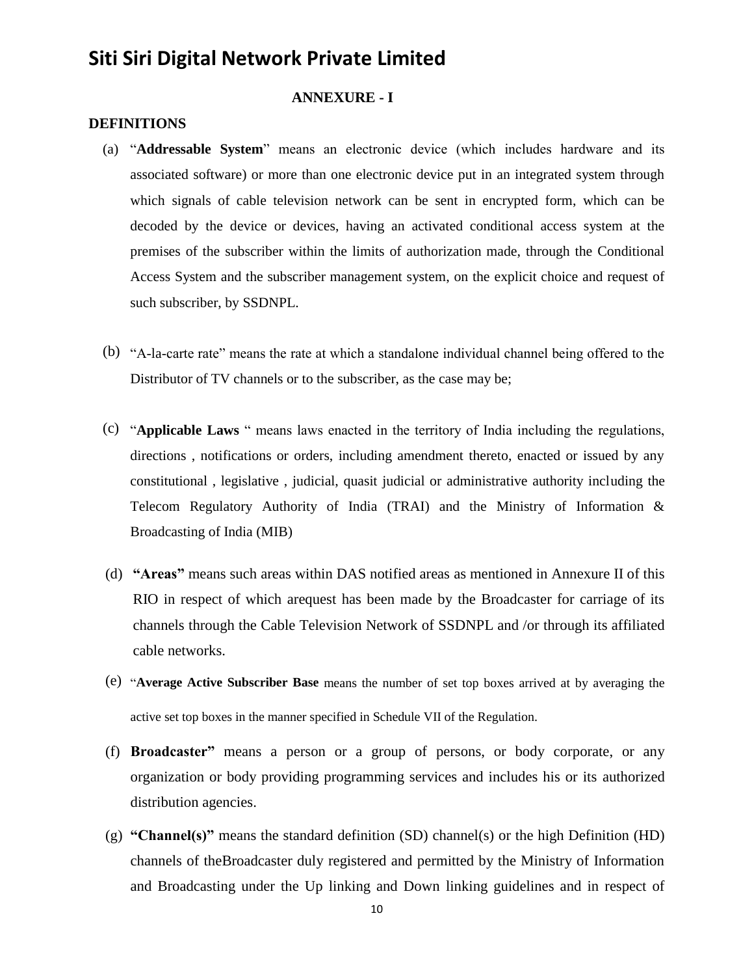#### **ANNEXURE - I**

#### **DEFINITIONS**

- (a) "**Addressable System**" means an electronic device (which includes hardware and its associated software) or more than one electronic device put in an integrated system through which signals of cable television network can be sent in encrypted form, which can be decoded by the device or devices, having an activated conditional access system at the premises of the subscriber within the limits of authorization made, through the Conditional Access System and the subscriber management system, on the explicit choice and request of such subscriber, by SSDNPL.
- (b) "A-la-carte rate" means the rate at which a standalone individual channel being offered to the Distributor of TV channels or to the subscriber, as the case may be;
- (c) "**Applicable Laws** " means laws enacted in the territory of India including the regulations, directions , notifications or orders, including amendment thereto, enacted or issued by any constitutional , legislative , judicial, quasit judicial or administrative authority including the Telecom Regulatory Authority of India (TRAI) and the Ministry of Information & Broadcasting of India (MIB)
- (d) **"Areas"** means such areas within DAS notified areas as mentioned in Annexure II of this RIO in respect of which arequest has been made by the Broadcaster for carriage of its channels through the Cable Television Network of SSDNPL and /or through its affiliated cable networks.
- (e) "**Average Active Subscriber Base** means the number of set top boxes arrived at by averaging the active set top boxes in the manner specified in Schedule VII of the Regulation.
- (f) **Broadcaster"** means a person or a group of persons, or body corporate, or any organization or body providing programming services and includes his or its authorized distribution agencies.
- (g) **"Channel(s)"** means the standard definition (SD) channel(s) or the high Definition (HD) channels of theBroadcaster duly registered and permitted by the Ministry of Information and Broadcasting under the Up linking and Down linking guidelines and in respect of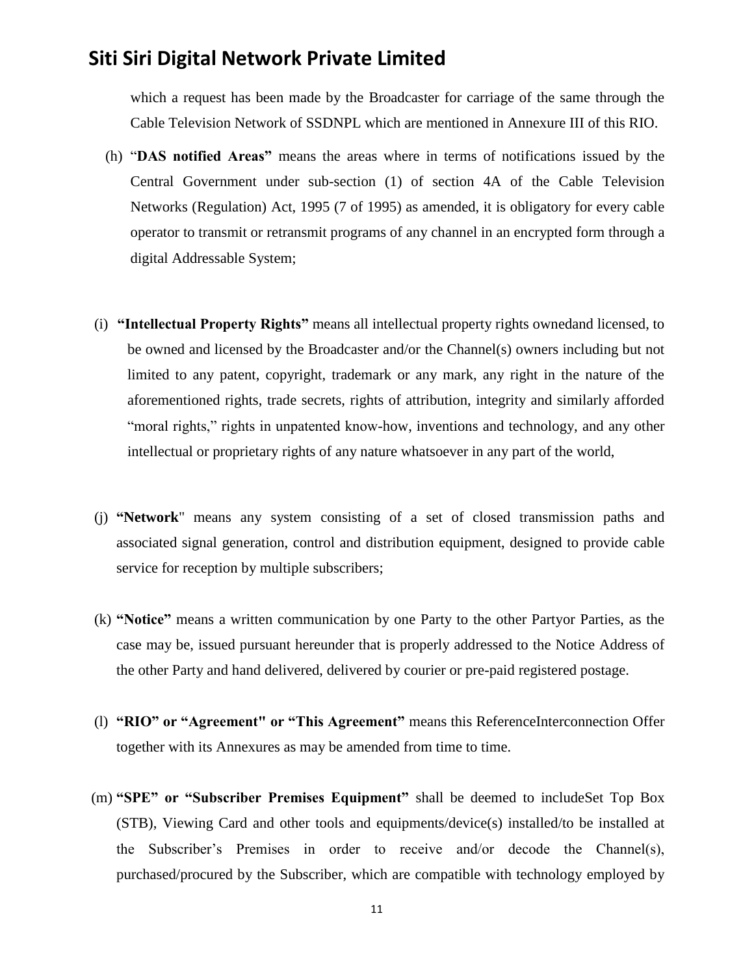which a request has been made by the Broadcaster for carriage of the same through the Cable Television Network of SSDNPL which are mentioned in Annexure III of this RIO.

- (h) "**DAS notified Areas"** means the areas where in terms of notifications issued by the Central Government under sub-section (1) of section 4A of the Cable Television Networks (Regulation) Act, 1995 (7 of 1995) as amended, it is obligatory for every cable operator to transmit or retransmit programs of any channel in an encrypted form through a digital Addressable System;
- (i) **"Intellectual Property Rights"** means all intellectual property rights ownedand licensed, to be owned and licensed by the Broadcaster and/or the Channel(s) owners including but not limited to any patent, copyright, trademark or any mark, any right in the nature of the aforementioned rights, trade secrets, rights of attribution, integrity and similarly afforded "moral rights," rights in unpatented know-how, inventions and technology, and any other intellectual or proprietary rights of any nature whatsoever in any part of the world,
- (j) **"Network**" means any system consisting of a set of closed transmission paths and associated signal generation, control and distribution equipment, designed to provide cable service for reception by multiple subscribers;
- (k) **"Notice"** means a written communication by one Party to the other Partyor Parties, as the case may be, issued pursuant hereunder that is properly addressed to the Notice Address of the other Party and hand delivered, delivered by courier or pre-paid registered postage.
- (l) **"RIO" or "Agreement" or "This Agreement"** means this ReferenceInterconnection Offer together with its Annexures as may be amended from time to time.
- (m) **"SPE" or "Subscriber Premises Equipment"** shall be deemed to includeSet Top Box (STB), Viewing Card and other tools and equipments/device(s) installed/to be installed at the Subscriber's Premises in order to receive and/or decode the Channel(s), purchased/procured by the Subscriber, which are compatible with technology employed by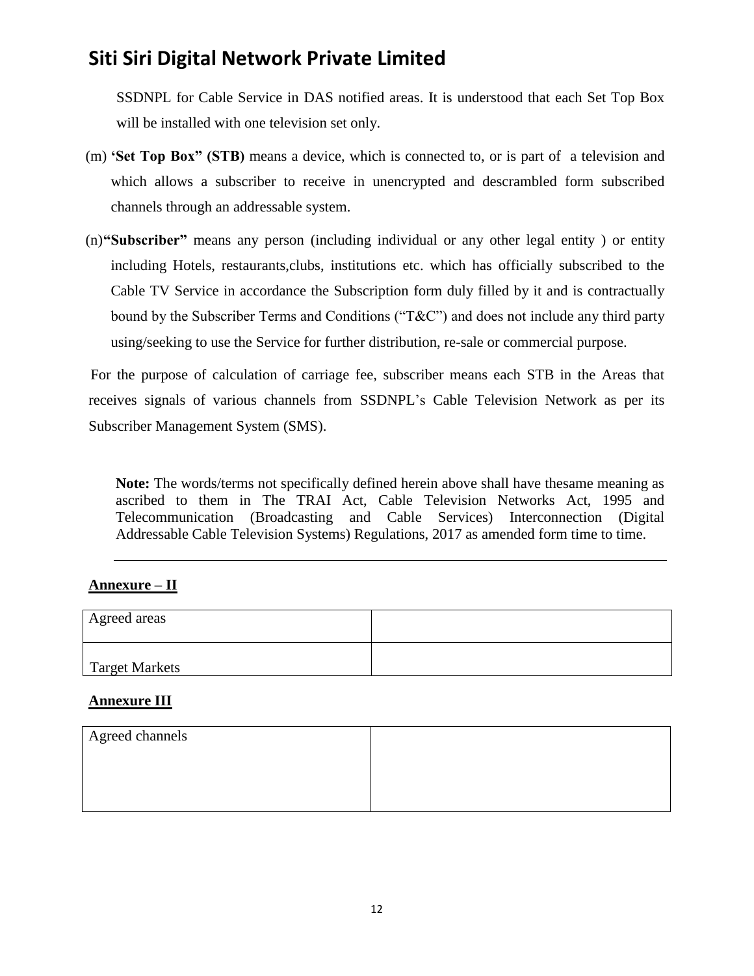SSDNPL for Cable Service in DAS notified areas. It is understood that each Set Top Box will be installed with one television set only.

- (m) **'Set Top Box" (STB)** means a device, which is connected to, or is part of a television and which allows a subscriber to receive in unencrypted and descrambled form subscribed channels through an addressable system.
- (n)**"Subscriber"** means any person (including individual or any other legal entity ) or entity including Hotels, restaurants,clubs, institutions etc. which has officially subscribed to the Cable TV Service in accordance the Subscription form duly filled by it and is contractually bound by the Subscriber Terms and Conditions ("T&C") and does not include any third party using/seeking to use the Service for further distribution, re-sale or commercial purpose.

For the purpose of calculation of carriage fee, subscriber means each STB in the Areas that receives signals of various channels from SSDNPL's Cable Television Network as per its Subscriber Management System (SMS).

**Note:** The words/terms not specifically defined herein above shall have thesame meaning as ascribed to them in The TRAI Act, Cable Television Networks Act, 1995 and Telecommunication (Broadcasting and Cable Services) Interconnection (Digital Addressable Cable Television Systems) Regulations, 2017 as amended form time to time.

#### **Annexure – II**

| Agreed areas          |  |
|-----------------------|--|
| <b>Target Markets</b> |  |

#### **Annexure III**

| Agreed channels |  |
|-----------------|--|
|                 |  |
|                 |  |
|                 |  |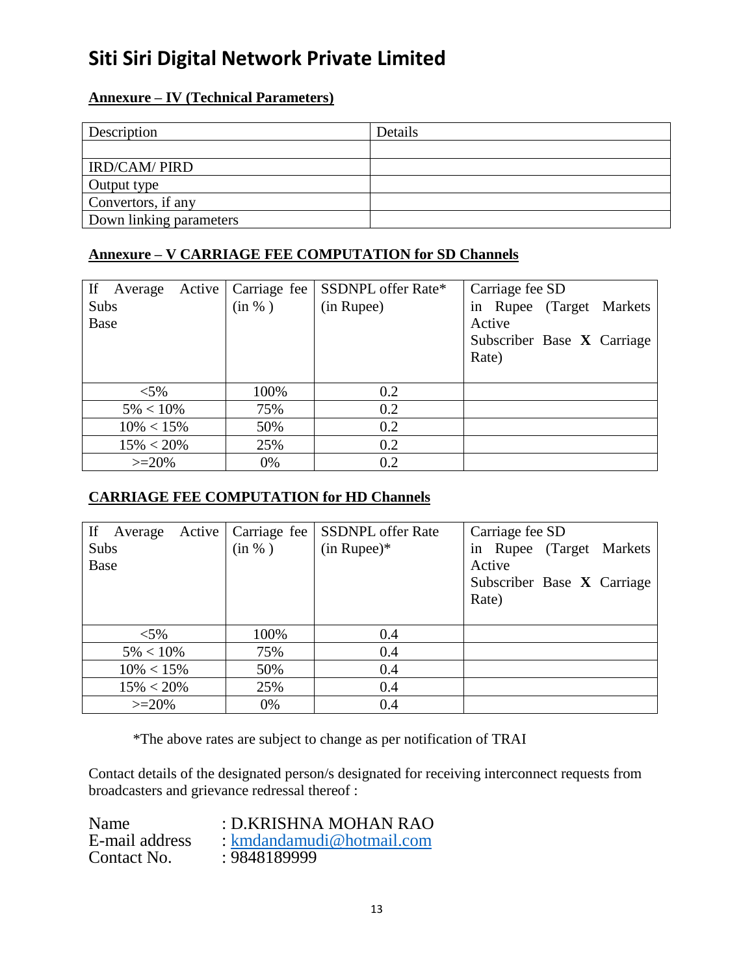### **Annexure – IV (Technical Parameters)**

| Description             | Details |
|-------------------------|---------|
|                         |         |
| <b>IRD/CAM/ PIRD</b>    |         |
| Output type             |         |
| Convertors, if any      |         |
| Down linking parameters |         |

#### **Annexure – V CARRIAGE FEE COMPUTATION for SD Channels**

| If<br>Average | Active   Carriage fee | SSDNPL offer Rate* | Carriage fee SD            |
|---------------|-----------------------|--------------------|----------------------------|
| Subs          | (in %)                | (in Rupee)         | in Rupee (Target Markets   |
| Base          |                       |                    | Active                     |
|               |                       |                    | Subscriber Base X Carriage |
|               |                       |                    | Rate)                      |
|               |                       |                    |                            |
| $< 5\%$       | 100%                  | 0.2                |                            |
| $5\% < 10\%$  | 75%                   | 0.2                |                            |
| $10\% < 15\%$ | 50%                   | 0.2                |                            |
| $15\% < 20\%$ | 25%                   | 0.2                |                            |
| $>=20%$       | 0%                    | 0.2                |                            |

### **CARRIAGE FEE COMPUTATION for HD Channels**

| If<br>Active  <br>Average | Carriage fee | <b>SSDNPL</b> offer Rate | Carriage fee SD            |
|---------------------------|--------------|--------------------------|----------------------------|
| Subs                      | (in %)       | $(in Runee)*$            | in Rupee (Target Markets   |
| Base                      |              |                          | Active                     |
|                           |              |                          | Subscriber Base X Carriage |
|                           |              |                          | Rate)                      |
|                           |              |                          |                            |
| $< 5\%$                   | 100%         | 0.4                      |                            |
| $5\% < 10\%$              | 75%          | 0.4                      |                            |
| $10\% < 15\%$             | 50%          | 0.4                      |                            |
| $15\% < 20\%$             | 25%          | 0.4                      |                            |
| $>=20%$                   | 0%           | 0.4                      |                            |

\*The above rates are subject to change as per notification of TRAI

Contact details of the designated person/s designated for receiving interconnect requests from broadcasters and grievance redressal thereof :

| Name           | : D.KRISHNA MOHAN RAO     |
|----------------|---------------------------|
| E-mail address | : kmdandamudi@hotmail.com |
| Contact No.    | : 9848189999              |